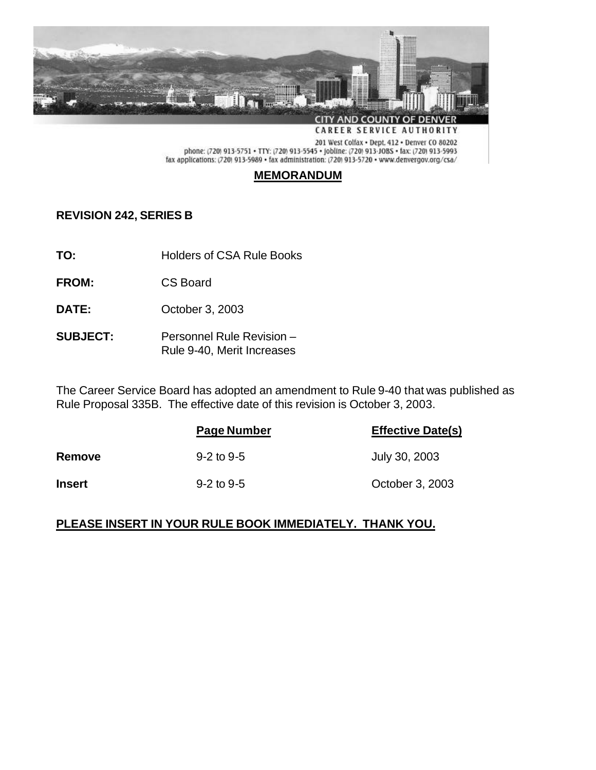

# **MEMORANDUM**

# **REVISION 242, SERIES B**

- **TO:** Holders of CSA Rule Books
- **FROM:** CS Board
- **DATE:** October 3, 2003
- **SUBJECT:** Personnel Rule Revision Rule 9-40, Merit Increases

The Career Service Board has adopted an amendment to Rule 9-40 that was published as Rule Proposal 335B. The effective date of this revision is October 3, 2003.

|               | Page Number        | <b>Effective Date(s)</b> |
|---------------|--------------------|--------------------------|
| Remove        | $9 - 2$ to $9 - 5$ | July 30, 2003            |
| <b>Insert</b> | $9 - 2$ to 9-5     | October 3, 2003          |

## **PLEASE INSERT IN YOUR RULE BOOK IMMEDIATELY. THANK YOU.**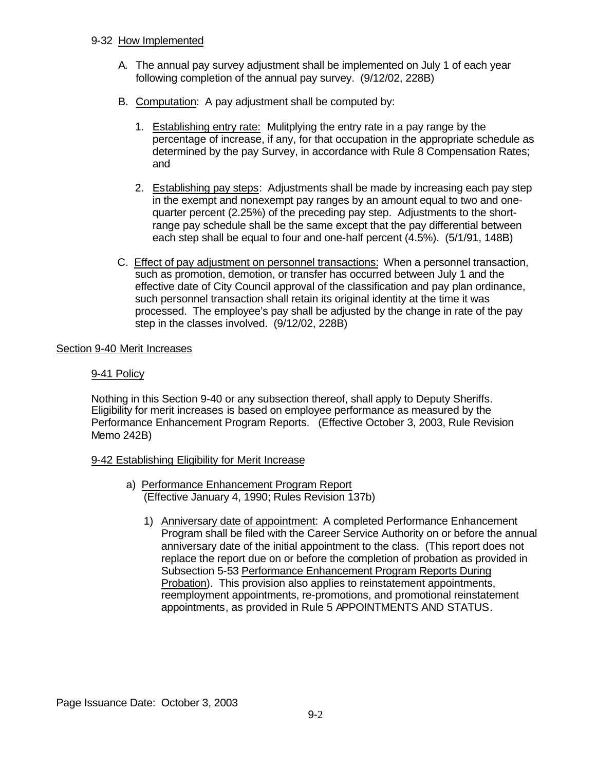#### 9-32 How Implemented

- A. The annual pay survey adjustment shall be implemented on July 1 of each year following completion of the annual pay survey. (9/12/02, 228B)
- B. Computation: A pay adjustment shall be computed by:
	- 1. Establishing entry rate: Mulitplying the entry rate in a pay range by the percentage of increase, if any, for that occupation in the appropriate schedule as determined by the pay Survey, in accordance with Rule 8 Compensation Rates; and
	- 2. Establishing pay steps: Adjustments shall be made by increasing each pay step in the exempt and nonexempt pay ranges by an amount equal to two and onequarter percent (2.25%) of the preceding pay step. Adjustments to the shortrange pay schedule shall be the same except that the pay differential between each step shall be equal to four and one-half percent (4.5%). (5/1/91, 148B)
- C. Effect of pay adjustment on personnel transactions: When a personnel transaction, such as promotion, demotion, or transfer has occurred between July 1 and the effective date of City Council approval of the classification and pay plan ordinance, such personnel transaction shall retain its original identity at the time it was processed. The employee's pay shall be adjusted by the change in rate of the pay step in the classes involved. (9/12/02, 228B)

#### Section 9-40 Merit Increases

### 9-41 Policy

Nothing in this Section 9-40 or any subsection thereof, shall apply to Deputy Sheriffs. Eligibility for merit increases is based on employee performance as measured by the Performance Enhancement Program Reports. (Effective October 3, 2003, Rule Revision Memo 242B)

#### 9-42 Establishing Eligibility for Merit Increase

- a) Performance Enhancement Program Report (Effective January 4, 1990; Rules Revision 137b)
	- 1) Anniversary date of appointment: A completed Performance Enhancement Program shall be filed with the Career Service Authority on or before the annual anniversary date of the initial appointment to the class. (This report does not replace the report due on or before the completion of probation as provided in Subsection 5-53 Performance Enhancement Program Reports During Probation). This provision also applies to reinstatement appointments, reemployment appointments, re-promotions, and promotional reinstatement appointments, as provided in Rule 5 APPOINTMENTS AND STATUS.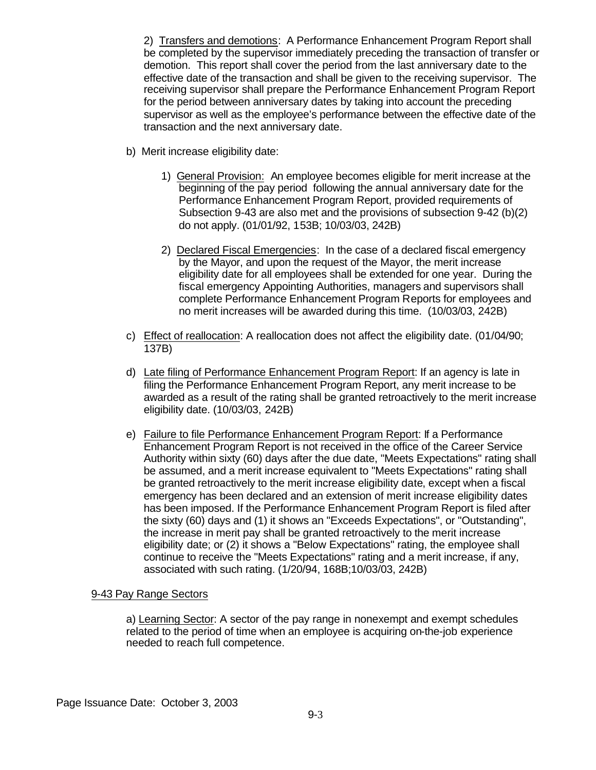2) Transfers and demotions: A Performance Enhancement Program Report shall be completed by the supervisor immediately preceding the transaction of transfer or demotion. This report shall cover the period from the last anniversary date to the effective date of the transaction and shall be given to the receiving supervisor. The receiving supervisor shall prepare the Performance Enhancement Program Report for the period between anniversary dates by taking into account the preceding supervisor as well as the employee's performance between the effective date of the transaction and the next anniversary date.

- b) Merit increase eligibility date:
	- 1) General Provision: An employee becomes eligible for merit increase at the beginning of the pay period following the annual anniversary date for the Performance Enhancement Program Report, provided requirements of Subsection 9-43 are also met and the provisions of subsection 9-42 (b)(2) do not apply. (01/01/92, 153B; 10/03/03, 242B)
	- 2) Declared Fiscal Emergencies: In the case of a declared fiscal emergency by the Mayor, and upon the request of the Mayor, the merit increase eligibility date for all employees shall be extended for one year. During the fiscal emergency Appointing Authorities, managers and supervisors shall complete Performance Enhancement Program Reports for employees and no merit increases will be awarded during this time. (10/03/03, 242B)
- c) Effect of reallocation: A reallocation does not affect the eligibility date. (01/04/90; 137B)
- d) Late filing of Performance Enhancement Program Report: If an agency is late in filing the Performance Enhancement Program Report, any merit increase to be awarded as a result of the rating shall be granted retroactively to the merit increase eligibility date. (10/03/03, 242B)
- e) Failure to file Performance Enhancement Program Report: If a Performance Enhancement Program Report is not received in the office of the Career Service Authority within sixty (60) days after the due date, "Meets Expectations" rating shall be assumed, and a merit increase equivalent to "Meets Expectations" rating shall be granted retroactively to the merit increase eligibility date, except when a fiscal emergency has been declared and an extension of merit increase eligibility dates has been imposed. If the Performance Enhancement Program Report is filed after the sixty (60) days and (1) it shows an "Exceeds Expectations", or "Outstanding", the increase in merit pay shall be granted retroactively to the merit increase eligibility date; or (2) it shows a "Below Expectations" rating, the employee shall continue to receive the "Meets Expectations" rating and a merit increase, if any, associated with such rating. (1/20/94, 168B;10/03/03, 242B)

## 9-43 Pay Range Sectors

a) Learning Sector: A sector of the pay range in nonexempt and exempt schedules related to the period of time when an employee is acquiring on-the-job experience needed to reach full competence.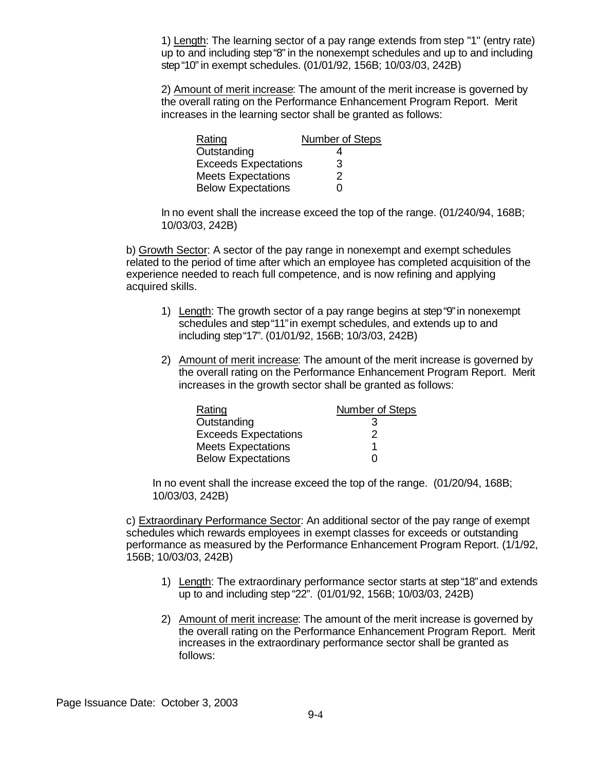1) Length: The learning sector of a pay range extends from step "1" (entry rate) up to and including step "8" in the nonexempt schedules and up to and including step "10" in exempt schedules. (01/01/92, 156B; 10/03/03, 242B)

2) Amount of merit increase: The amount of the merit increase is governed by the overall rating on the Performance Enhancement Program Report. Merit increases in the learning sector shall be granted as follows:

| Rating                      | Number of Steps |
|-----------------------------|-----------------|
| Outstanding                 | 4               |
| <b>Exceeds Expectations</b> | 3               |
| <b>Meets Expectations</b>   | 2               |
| <b>Below Expectations</b>   | O               |

In no event shall the increase exceed the top of the range. (01/240/94, 168B; 10/03/03, 242B)

b) Growth Sector: A sector of the pay range in nonexempt and exempt schedules related to the period of time after which an employee has completed acquisition of the experience needed to reach full competence, and is now refining and applying acquired skills.

- 1) Length: The growth sector of a pay range begins at step "9" in nonexempt schedules and step "11" in exempt schedules, and extends up to and including step "17". (01/01/92, 156B; 10/3/03, 242B)
- 2) Amount of merit increase: The amount of the merit increase is governed by the overall rating on the Performance Enhancement Program Report. Merit increases in the growth sector shall be granted as follows:

| Rating                      | Number of Steps |
|-----------------------------|-----------------|
| Outstanding                 | 3               |
| <b>Exceeds Expectations</b> | 2               |
| <b>Meets Expectations</b>   |                 |
| <b>Below Expectations</b>   |                 |

In no event shall the increase exceed the top of the range. (01/20/94, 168B; 10/03/03, 242B)

c) Extraordinary Performance Sector: An additional sector of the pay range of exempt schedules which rewards employees in exempt classes for exceeds or outstanding performance as measured by the Performance Enhancement Program Report. (1/1/92, 156B; 10/03/03, 242B)

- 1) Length: The extraordinary performance sector starts at step "18" and extends up to and including step "22". (01/01/92, 156B; 10/03/03, 242B)
- 2) Amount of merit increase: The amount of the merit increase is governed by the overall rating on the Performance Enhancement Program Report. Merit increases in the extraordinary performance sector shall be granted as follows: